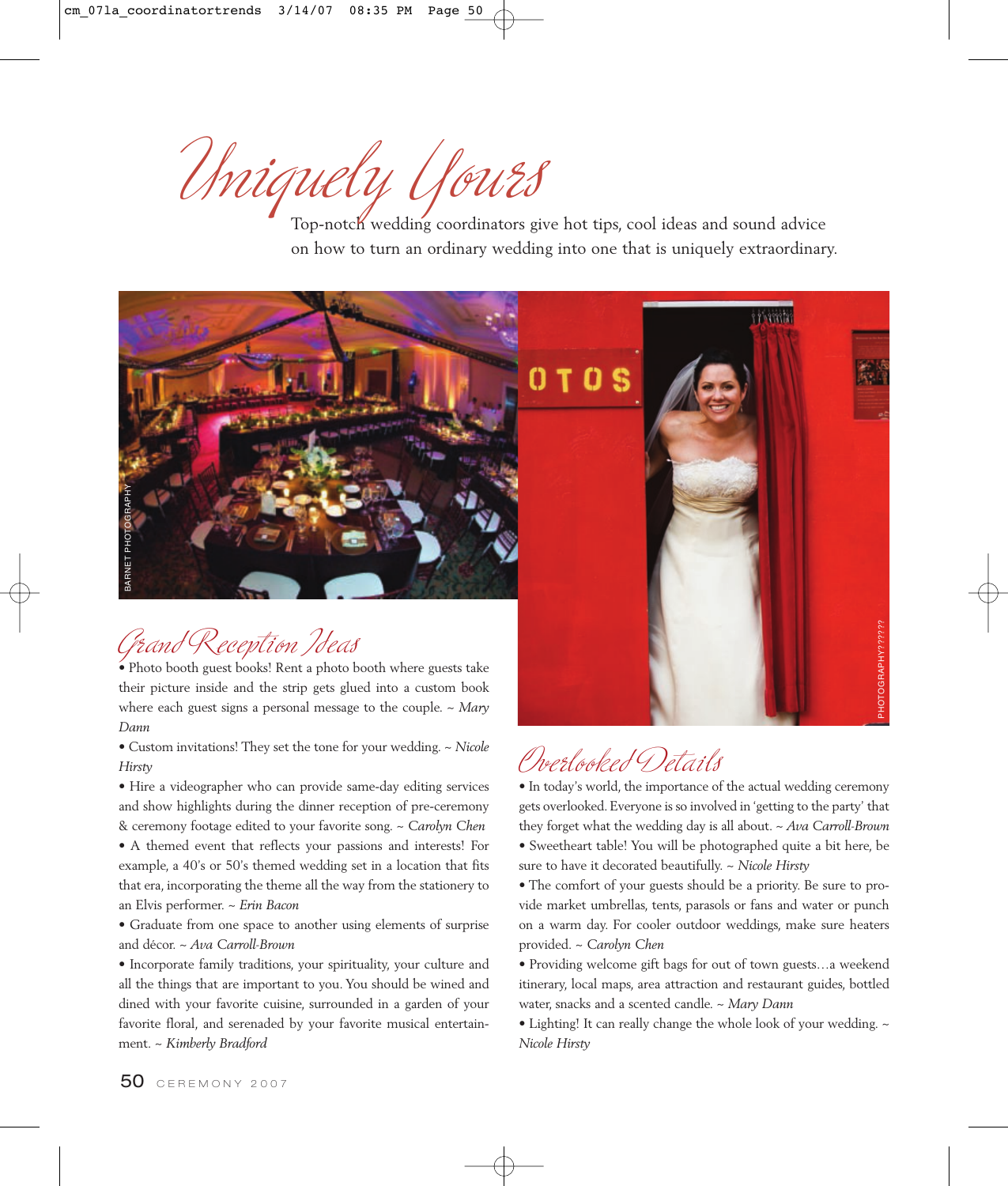Uniquely Yours

Top-notch wedding coordinators give hot tips, cool ideas and sound advice on how to turn an ordinary wedding into one that is uniquely extraordinary.



## Grand Reception Ideas<br>• Photo booth guest books! Rent a photo booth where guests take

their picture inside and the strip gets glued into a custom book where each guest signs a personal message to the couple. *~ Mary Dann*

• Custom invitations! They set the tone for your wedding. *~ Nicole Hirsty*

• Hire a videographer who can provide same-day editing services and show highlights during the dinner reception of pre-ceremony & ceremony footage edited to your favorite song. *~ Carolyn Chen*

• A themed event that reflects your passions and interests! For example, a 40's or 50's themed wedding set in a location that fits that era, incorporating the theme all the way from the stationery to an Elvis performer. *~ Erin Bacon*

• Graduate from one space to another using elements of surprise and décor. *~ Ava Carroll-Brown*

• Incorporate family traditions, your spirituality, your culture and all the things that are important to you. You should be wined and dined with your favorite cuisine, surrounded in a garden of your favorite floral, and serenaded by your favorite musical entertainment. *~ Kimberly Bradford*



## $\mathcal{O}$ verlooked Details • In today's world, the importance of the actual wedding ceremony

gets overlooked. Everyone is so involved in 'getting to the party' that they forget what the wedding day is all about. *~ Ava Carroll-Brown* • Sweetheart table! You will be photographed quite a bit here, be sure to have it decorated beautifully. *~ Nicole Hirsty*

• The comfort of your guests should be a priority. Be sure to provide market umbrellas, tents, parasols or fans and water or punch on a warm day. For cooler outdoor weddings, make sure heaters provided. *~ Carolyn Chen*

• Providing welcome gift bags for out of town guests…a weekend itinerary, local maps, area attraction and restaurant guides, bottled water, snacks and a scented candle. *~ Mary Dann*

• Lighting! It can really change the whole look of your wedding. *~ Nicole Hirsty*

50 CEREMONY 2007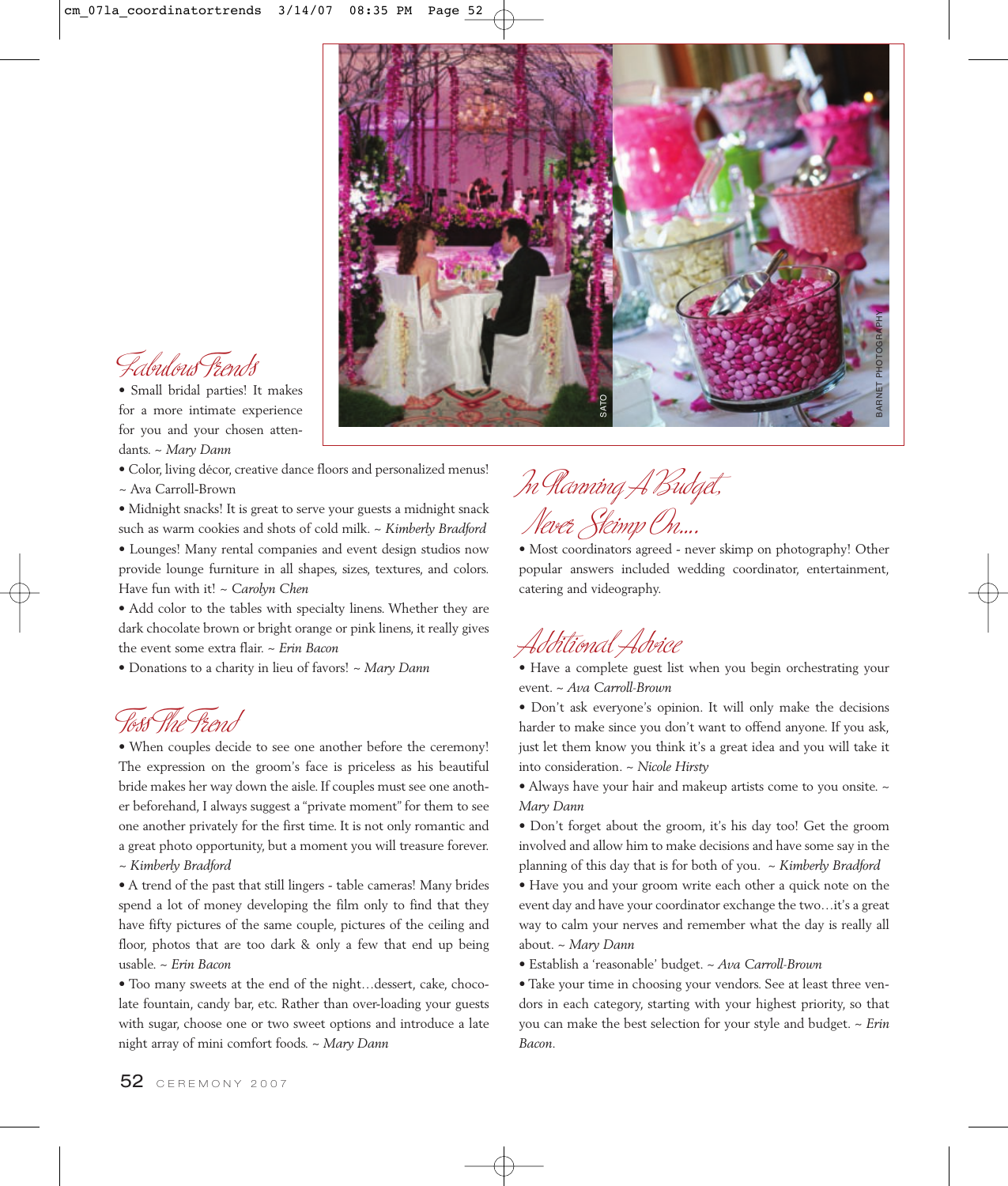

for a more intimate experience for you and your chosen attendants. *~ Mary Dann*

• Color, living décor, creative dance floors and personalized menus! *~* Ava Carroll-Brown

• Midnight snacks! It is great to serve your guests a midnight snack such as warm cookies and shots of cold milk. *~ Kimberly Bradford* • Lounges! Many rental companies and event design studios now provide lounge furniture in all shapes, sizes, textures, and colors. Have fun with it! *~ Carolyn Chen*

• Add color to the tables with specialty linens. Whether they are dark chocolate brown or bright orange or pink linens, it really gives the event some extra flair. *~ Erin Bacon*

• Donations to a charity in lieu of favors! *~ Mary Dann*

Toss The Trend<br>• When couples decide to see one another before the ceremony! The expression on the groom's face is priceless as his beautiful bride makes her way down the aisle. If couples must see one another beforehand, I always suggest a "private moment" for them to see one another privately for the first time. It is not only romantic and a great photo opportunity, but a moment you will treasure forever. *~ Kimberly Bradford*

• A trend of the past that still lingers - table cameras! Many brides spend a lot of money developing the film only to find that they have fifty pictures of the same couple, pictures of the ceiling and floor, photos that are too dark & only a few that end up being usable. *~ Erin Bacon*

• Too many sweets at the end of the night…dessert, cake, chocolate fountain, candy bar, etc. Rather than over-loading your guests with sugar, choose one or two sweet options and introduce a late night array of mini comfort foods. *~ Mary Dann*



In Planning A Budget, Never *Sleimp On....*<br>• Most coordinators agreed - never skimp on photography! Other

popular answers included wedding coordinator, entertainment, catering and videography.

## Additional Advice<br>• Have a complete guest list when you begin orchestrating your

event. ~ *Ava Carroll-Brown*

• Don't ask everyone's opinion. It will only make the decisions harder to make since you don't want to offend anyone. If you ask, just let them know you think it's a great idea and you will take it into consideration. *~ Nicole Hirsty*

• Always have your hair and makeup artists come to you onsite. *~ Mary Dann*

• Don't forget about the groom, it's his day too! Get the groom involved and allow him to make decisions and have some say in the planning of this day that is for both of you. *~ Kimberly Bradford*

• Have you and your groom write each other a quick note on the event day and have your coordinator exchange the two…it's a great way to calm your nerves and remember what the day is really all about. *~ Mary Dann*

• Establish a 'reasonable' budget. *~ Ava Carroll-Brown*

• Take your time in choosing your vendors. See at least three vendors in each category, starting with your highest priority, so that you can make the best selection for your style and budget. *~ Erin Bacon*.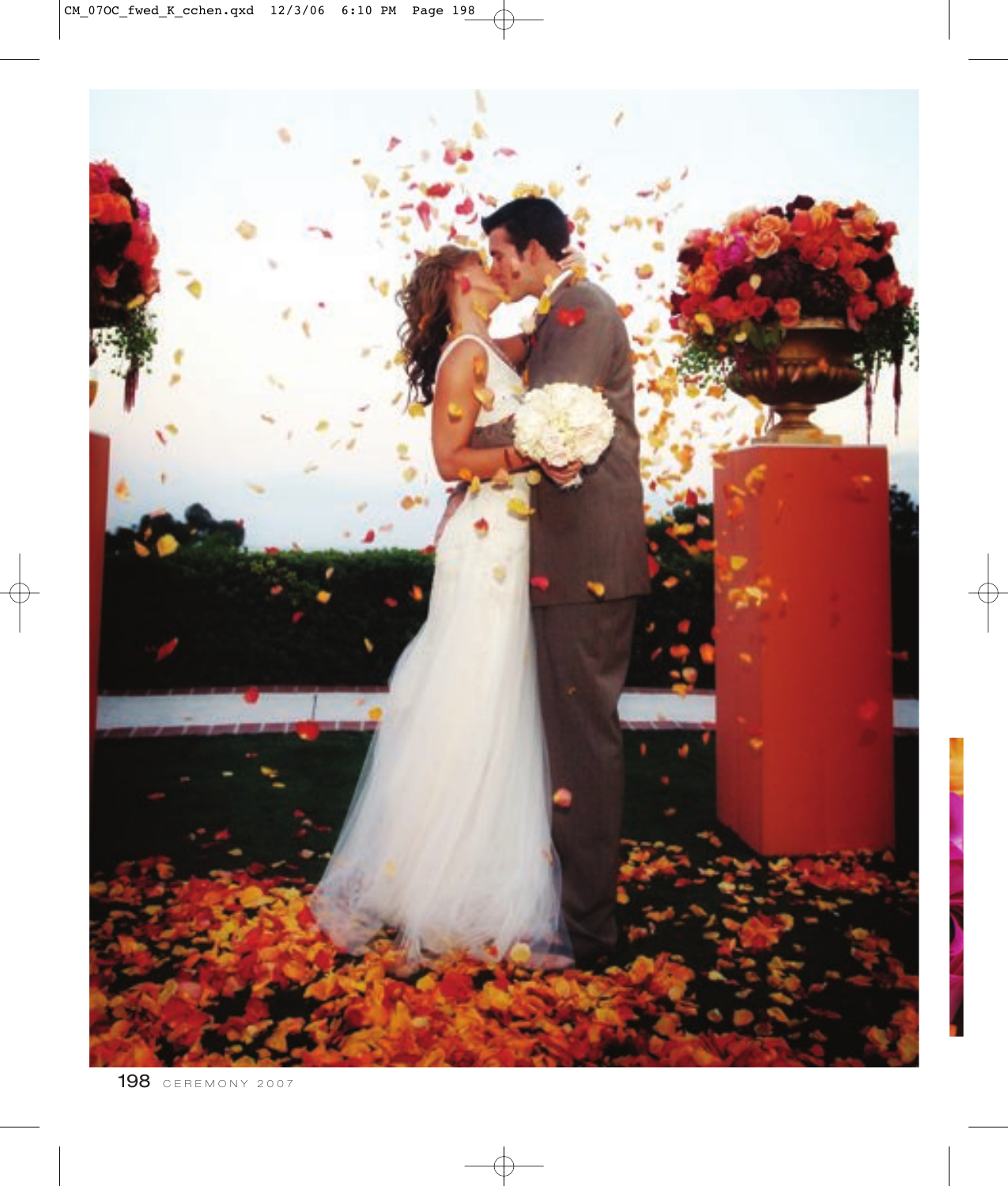

198 CEREMONY 2007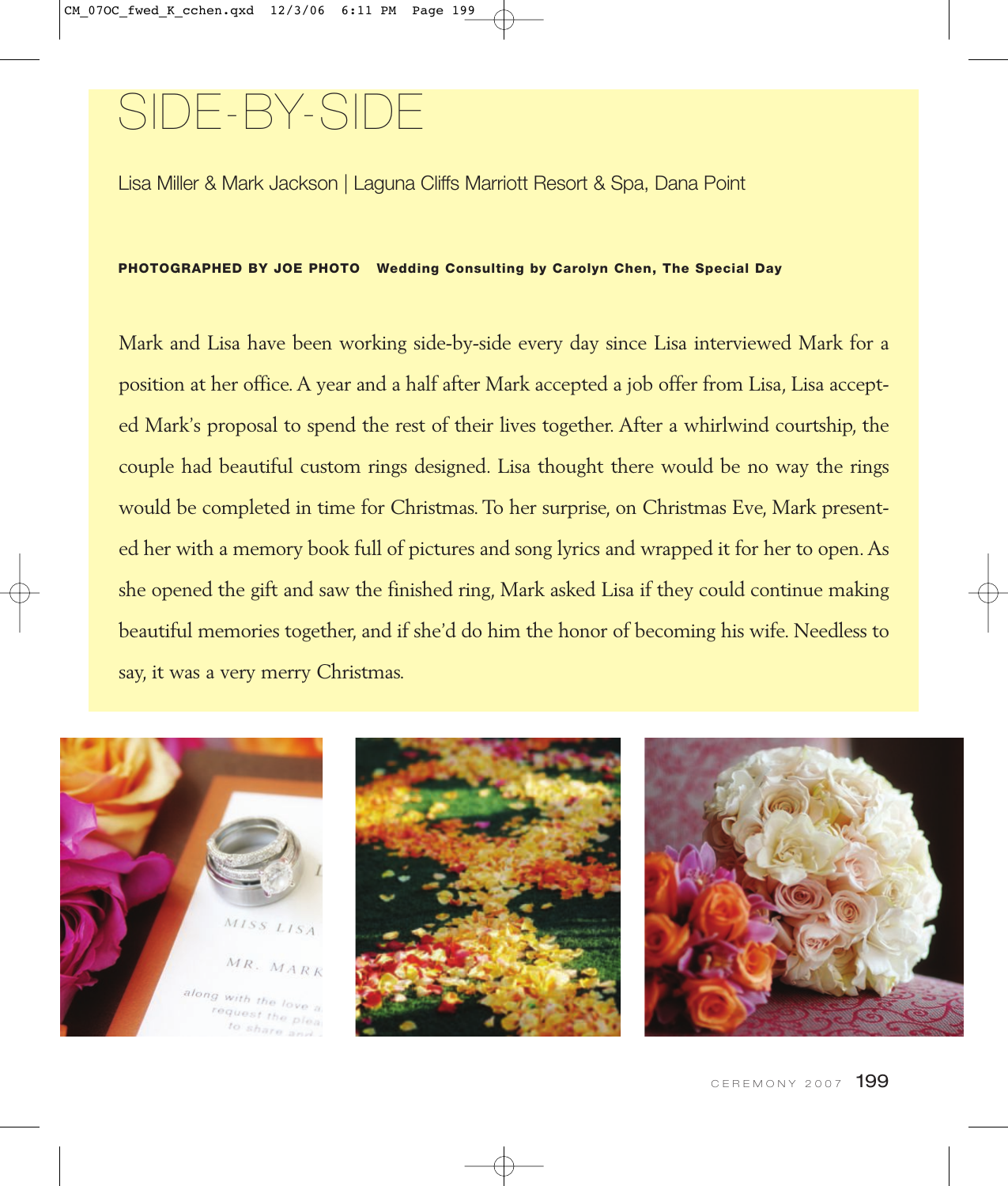# SIDE-BY-SIDE

Lisa Miller & Mark Jackson | Laguna Cliffs Marriott Resort & Spa, Dana Point

#### PHOTOGRAPHED BY JOE PHOTO Wedding Consulting by Carolyn Chen, The Special Day

Mark and Lisa have been working side-by-side every day since Lisa interviewed Mark for a position at her office.A year and a half after Mark accepted a job offer from Lisa, Lisa accepted Mark's proposal to spend the rest of their lives together. After a whirlwind courtship, the couple had beautiful custom rings designed. Lisa thought there would be no way the rings would be completed in time for Christmas. To her surprise, on Christmas Eve, Mark presented her with a memory book full of pictures and song lyrics and wrapped it for her to open.As she opened the gift and saw the finished ring, Mark asked Lisa if they could continue making beautiful memories together, and if she'd do him the honor of becoming his wife. Needless to say, it was a very merry Christmas.







CEREMONY 2007 199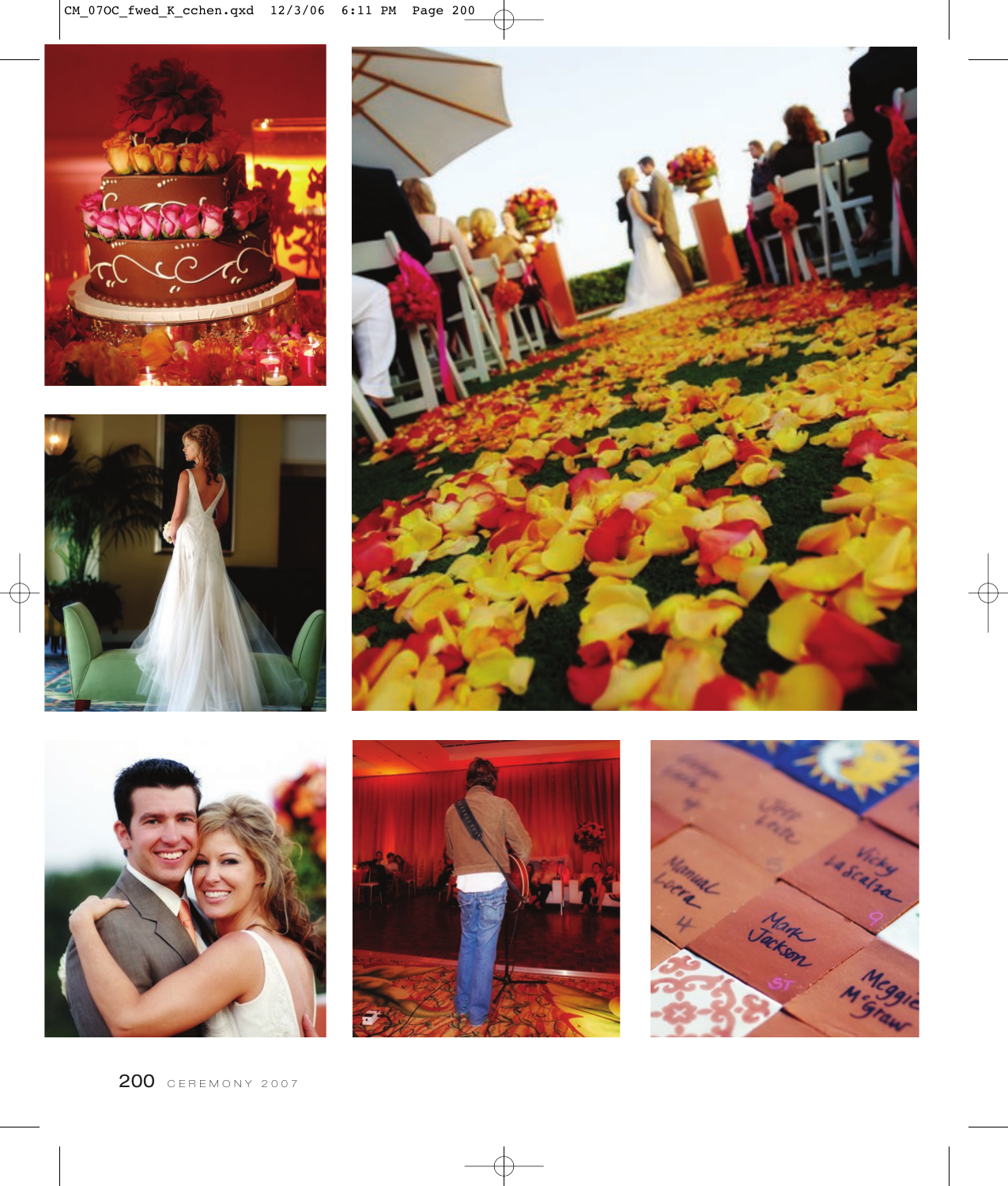







200 CEREMONY 2007



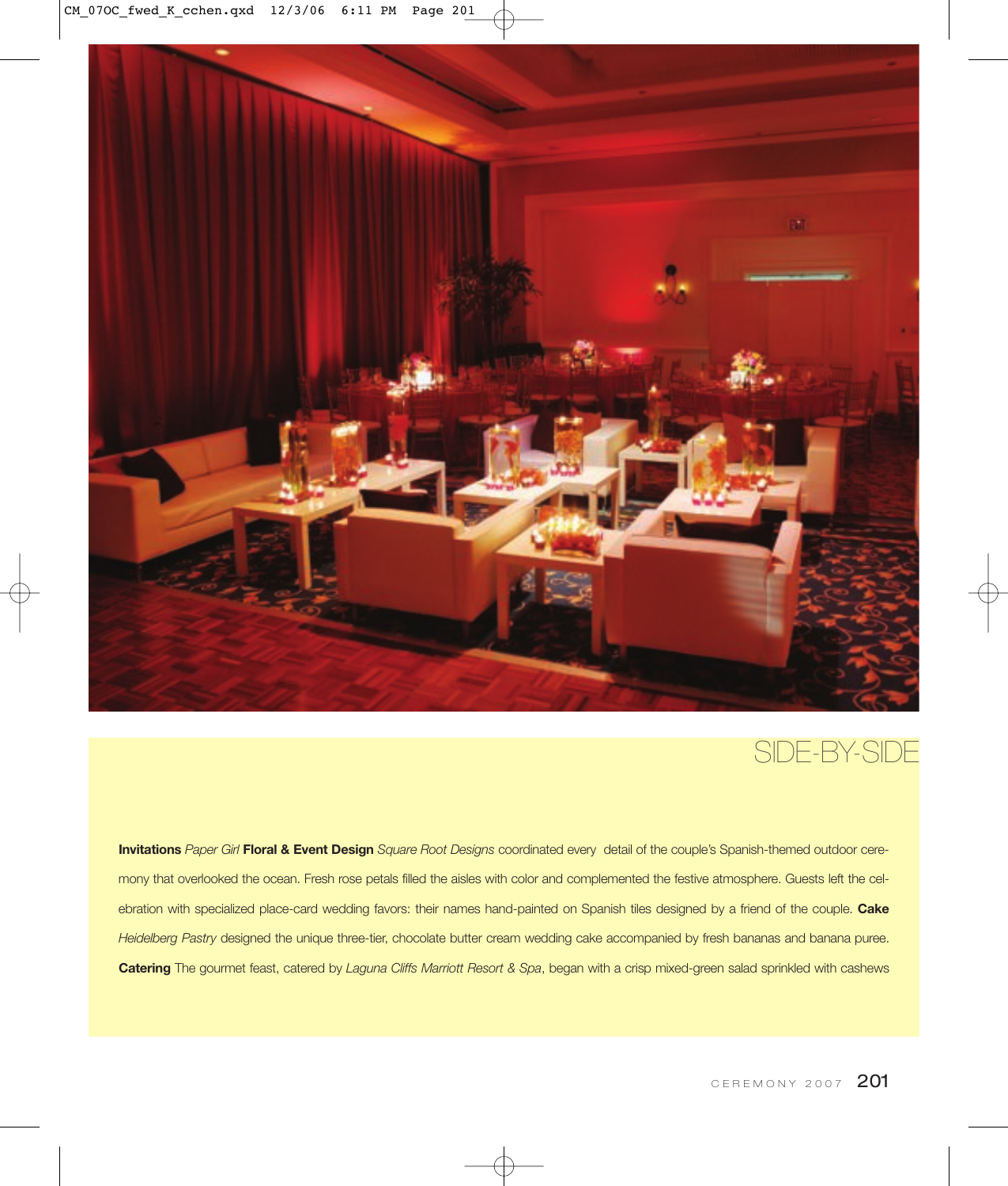

#### SIDE-BY-SIDE

**Invitations** *Paper Girl* **Floral & Event Design** *Square Root Designs* coordinated every detail of the couple's Spanish-themed outdoor ceremony that overlooked the ocean. Fresh rose petals filled the aisles with color and complemented the festive atmosphere. Guests left the celebration with specialized place-card wedding favors: their names hand-painted on Spanish tiles designed by a friend of the couple. **Cake** *Heidelberg Pastry* designed the unique three-tier, chocolate butter cream wedding cake accompanied by fresh bananas and banana puree. **Catering** The gourmet feast, catered by *Laguna Cliffs Marriott Resort & Spa*, began with a crisp mixed-green salad sprinkled with cashews

CEREMONY 2007 201